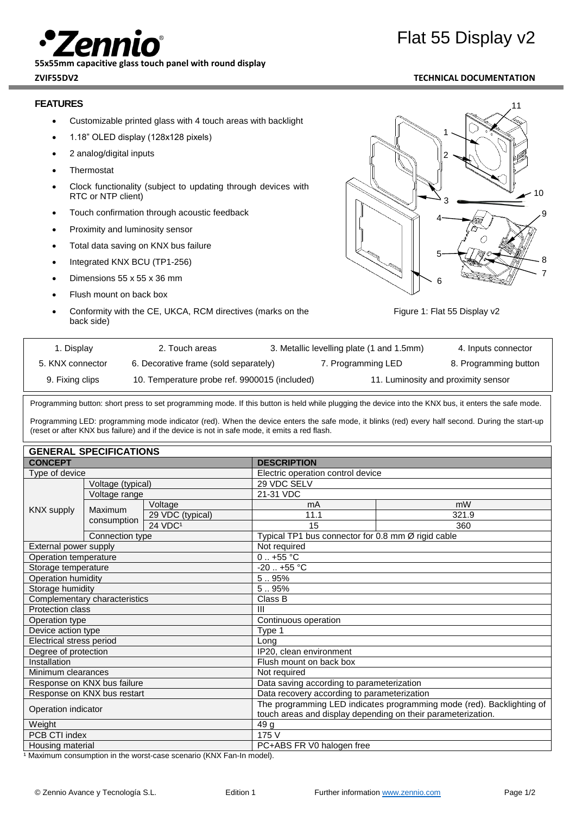**55x55mm capacitive glass touch panel with round display**

## **FEATURES**

- Customizable printed glass with 4 touch areas with backlight
- 1.18" OLED display (128x128 pixels)
- 2 analog/digital inputs
- **Thermostat**
- Clock functionality (subject to updating through devices with RTC or NTP client)
- Touch confirmation through acoustic feedback
- Proximity and luminosity sensor
- Total data saving on KNX bus failure
- Integrated KNX BCU (TP1-256)
- Dimensions 55 x 55 x 36 mm
- Flush mount on back box
- Conformity with the CE, UKCA, RCM directives (marks on the back side)





| 1. Display       | 2. Touch areas                                |  | 3. Metallic levelling plate (1 and 1.5mm) | 4. Inputs connector   |
|------------------|-----------------------------------------------|--|-------------------------------------------|-----------------------|
| 5. KNX connector | 6. Decorative frame (sold separately)         |  | 7. Programming LED                        | 8. Programming button |
| 9. Fixing clips  | 10. Temperature probe ref. 9900015 (included) |  | 11. Luminosity and proximity sensor       |                       |

Programming button: short press to set programming mode. If this button is held while plugging the device into the KNX bus, it enters the safe mode.

Programming LED: programming mode indicator (red). When the device enters the safe mode, it blinks (red) every half second. During the start-up (reset or after KNX bus failure) and if the device is not in safe mode, it emits a red flash.

| <b>GENERAL SPECIFICATIONS</b> |                   |                                             |                                                                       |       |  |  |
|-------------------------------|-------------------|---------------------------------------------|-----------------------------------------------------------------------|-------|--|--|
| <b>CONCEPT</b>                |                   |                                             | <b>DESCRIPTION</b>                                                    |       |  |  |
| Type of device                |                   |                                             | Electric operation control device                                     |       |  |  |
|                               | Voltage (typical) |                                             | 29 VDC SELV                                                           |       |  |  |
| <b>KNX supply</b>             | Voltage range     |                                             | 21-31 VDC                                                             |       |  |  |
|                               | <b>Maximum</b>    | Voltage                                     | mA                                                                    | mW    |  |  |
|                               |                   | 29 VDC (typical)                            | 11.1                                                                  | 321.9 |  |  |
|                               | consumption       | $24$ VDC <sup>1</sup>                       | 15                                                                    | 360   |  |  |
|                               | Connection type   |                                             | Typical TP1 bus connector for 0.8 mm Ø rigid cable                    |       |  |  |
| External power supply         |                   | Not required                                |                                                                       |       |  |  |
| Operation temperature         |                   |                                             | $0.1 + 55$ °C                                                         |       |  |  |
| Storage temperature           |                   |                                             | $-20$ $+55$ °C                                                        |       |  |  |
| Operation humidity            |                   |                                             | 5.95%                                                                 |       |  |  |
| Storage humidity              |                   |                                             | 5.95%                                                                 |       |  |  |
| Complementary characteristics |                   |                                             | Class B                                                               |       |  |  |
| <b>Protection class</b>       |                   | III                                         |                                                                       |       |  |  |
| Operation type                |                   |                                             | Continuous operation                                                  |       |  |  |
| Device action type            |                   |                                             | Type 1                                                                |       |  |  |
| Electrical stress period      |                   |                                             | Long                                                                  |       |  |  |
| Degree of protection          |                   |                                             | IP20, clean environment                                               |       |  |  |
| Installation                  |                   | Flush mount on back box                     |                                                                       |       |  |  |
| Minimum clearances            |                   |                                             | Not required                                                          |       |  |  |
| Response on KNX bus failure   |                   | Data saving according to parameterization   |                                                                       |       |  |  |
| Response on KNX bus restart   |                   | Data recovery according to parameterization |                                                                       |       |  |  |
| Operation indicator           |                   |                                             | The programming LED indicates programming mode (red). Backlighting of |       |  |  |
|                               |                   |                                             | touch areas and display depending on their parameterization.          |       |  |  |
| Weight                        |                   |                                             | 49 g                                                                  |       |  |  |
| PCB CTI index                 |                   |                                             | 175 V                                                                 |       |  |  |
| Housing material              |                   |                                             | PC+ABS FR V0 halogen free                                             |       |  |  |

1 Maximum consumption in the worst-case scenario (KNX Fan-In model).

# Flat 55 Display v2

# **ZVIF55DV2 TECHNICAL DOCUMENTATION**